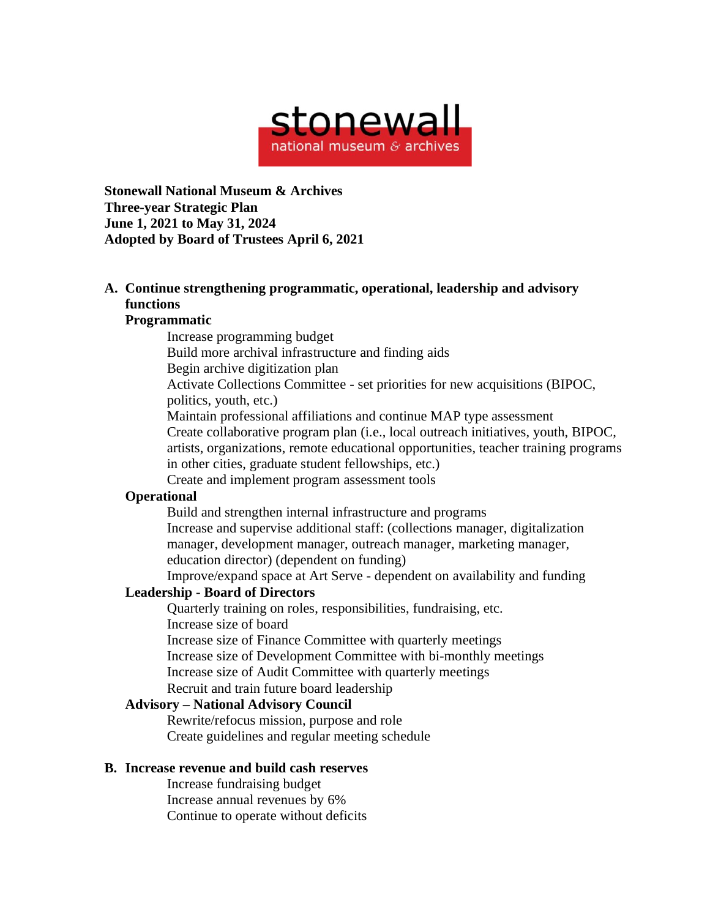

**Stonewall National Museum & Archives Three-year Strategic Plan June 1, 2021 to May 31, 2024 Adopted by Board of Trustees April 6, 2021**

# **A. Continue strengthening programmatic, operational, leadership and advisory functions**

#### **Programmatic**

Increase programming budget

Build more archival infrastructure and finding aids

Begin archive digitization plan

Activate Collections Committee - set priorities for new acquisitions (BIPOC, politics, youth, etc.)

Maintain professional affiliations and continue MAP type assessment Create collaborative program plan (i.e., local outreach initiatives, youth, BIPOC,

artists, organizations, remote educational opportunities, teacher training programs in other cities, graduate student fellowships, etc.)

Create and implement program assessment tools

### **Operational**

Build and strengthen internal infrastructure and programs Increase and supervise additional staff: (collections manager, digitalization manager, development manager, outreach manager, marketing manager, education director) (dependent on funding)

Improve/expand space at Art Serve - dependent on availability and funding

## **Leadership - Board of Directors**

Quarterly training on roles, responsibilities, fundraising, etc. Increase size of board Increase size of Finance Committee with quarterly meetings Increase size of Development Committee with bi-monthly meetings

Increase size of Audit Committee with quarterly meetings

Recruit and train future board leadership

### **Advisory – National Advisory Council**

Rewrite/refocus mission, purpose and role Create guidelines and regular meeting schedule

### **B. Increase revenue and build cash reserves**

Increase fundraising budget Increase annual revenues by 6% Continue to operate without deficits